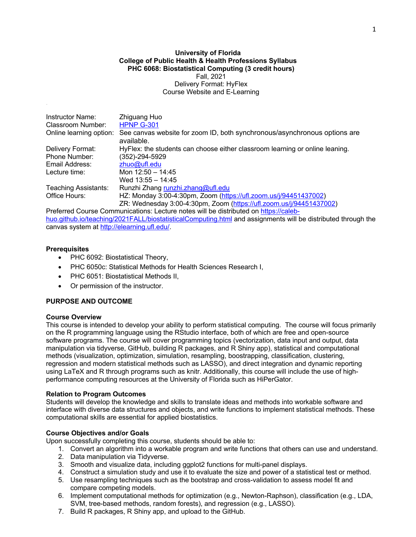### **University of Florida College of Public Health & Health Professions Syllabus PHC 6068: Biostatistical Computing (3 credit hours)** Fall, 2021 Delivery Format: HyFlex Course Website and E-Learning

| <b>Instructor Name:</b>     | Zhiguang Huo                                                                            |
|-----------------------------|-----------------------------------------------------------------------------------------|
| <b>Classroom Number:</b>    | <b>HPNP G-301</b>                                                                       |
| Online learning option:     | See canvas website for zoom ID, both synchronous/asynchronous options are<br>available. |
| Delivery Format:            | HyFlex: the students can choose either classroom learning or online leaning.            |
| Phone Number:               | (352)-294-5929                                                                          |
| Email Address:              | $z$ huo@ufl.edu                                                                         |
| Lecture time:               | Mon $12:50 - 14:45$                                                                     |
|                             | Wed 13:55 - 14:45                                                                       |
| <b>Teaching Assistants:</b> | Runzhi Zhang runzhi.zhang@ufl.edu                                                       |
| Office Hours:               | HZ: Monday 3:00-4:30pm, Zoom (https://ufl.zoom.us/j/94451437002)                        |
|                             | ZR: Wednesday 3:00-4:30pm, Zoom (https://ufl.zoom.us/j/94451437002)                     |

Preferred Course Communications: Lecture notes will be distributed on https://calebhuo.github.io/teaching/2021FALL/biostatisticalComputing.html and assignments will be distributed through the canvas system at http://elearning.ufl.edu/.

## **Prerequisites**

- PHC 6092: Biostatistical Theory,
- PHC 6050c: Statistical Methods for Health Sciences Research I,
- PHC 6051: Biostatistical Methods II,
- Or permission of the instructor.

## **PURPOSE AND OUTCOME**

## **Course Overview**

This course is intended to develop your ability to perform statistical computing. The course will focus primarily on the R programming language using the RStudio interface, both of which are free and open-source software programs. The course will cover programming topics (vectorization, data input and output, data manipulation via tidyverse, GitHub, building R packages, and R Shiny app), statistical and computational methods (visualization, optimization, simulation, resampling, boostrapping, classification, clustering, regression and modern statistical methods such as LASSO), and direct integration and dynamic reporting using LaTeX and R through programs such as knitr. Additionally, this course will include the use of highperformance computing resources at the University of Florida such as HiPerGator.

## **Relation to Program Outcomes**

Students will develop the knowledge and skills to translate ideas and methods into workable software and interface with diverse data structures and objects, and write functions to implement statistical methods. These computational skills are essential for applied biostatistics.

## **Course Objectives and/or Goals**

Upon successfully completing this course, students should be able to:

- 1. Convert an algorithm into a workable program and write functions that others can use and understand.
- 2. Data manipulation via Tidyverse.
- 3. Smooth and visualize data, including ggplot2 functions for multi-panel displays.
- 4. Construct a simulation study and use it to evaluate the size and power of a statistical test or method.
- 5. Use resampling techniques such as the bootstrap and cross-validation to assess model fit and compare competing models.
- 6. Implement computational methods for optimization (e.g., Newton-Raphson), classification (e.g., LDA, SVM, tree-based methods, random forests), and regression (e.g., LASSO).
- 7. Build R packages, R Shiny app, and upload to the GitHub.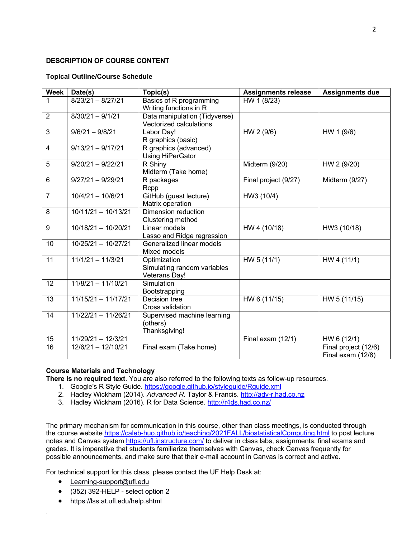## **DESCRIPTION OF COURSE CONTENT**

## **Topical Outline/Course Schedule**

| Week            | Date(s)               | Topic(s)                                                            | <b>Assignments release</b> | <b>Assignments due</b>                    |
|-----------------|-----------------------|---------------------------------------------------------------------|----------------------------|-------------------------------------------|
| 1               | $8/23/21 - 8/27/21$   | Basics of R programming<br>Writing functions in R                   | HW 1 (8/23)                |                                           |
| 2               | $8/30/21 - 9/1/21$    | Data manipulation (Tidyverse)<br>Vectorized calculations            |                            |                                           |
| $\overline{3}$  | $9/6/21 - 9/8/21$     | Labor Day!<br>R graphics (basic)                                    | HW 2 (9/6)                 | HW 1 (9/6)                                |
| $\overline{4}$  | $9/13/21 - 9/17/21$   | R graphics (advanced)<br>Using HiPerGator                           |                            |                                           |
| 5               | $9/20/21 - 9/22/21$   | R Shiny<br>Midterm (Take home)                                      | Midterm (9/20)             | HW 2 (9/20)                               |
| 6               | $9/27/21 - 9/29/21$   | R packages<br>Rcpp                                                  | Final project (9/27)       | Midterm (9/27)                            |
| $\overline{7}$  | $10/4/21 - 10/6/21$   | GitHub (guest lecture)<br>Matrix operation                          | HW3 (10/4)                 |                                           |
| 8               | $10/11/21 - 10/13/21$ | Dimension reduction<br>Clustering method                            |                            |                                           |
| 9               | 10/18/21 - 10/20/21   | Linear models<br>Lasso and Ridge regression                         | HW 4 (10/18)               | HW3 (10/18)                               |
| 10              | 10/25/21 - 10/27/21   | Generalized linear models<br>Mixed models                           |                            |                                           |
| $\overline{11}$ | $11/1/21 - 11/3/21$   | Optimization<br>Simulating random variables<br><b>Veterans Day!</b> | HW 5 (11/1)                | HW4(11/1)                                 |
| 12              | $11/8/21 - 11/10/21$  | Simulation<br>Bootstrapping                                         |                            |                                           |
| 13              | $11/15/21 - 11/17/21$ | Decision tree<br>Cross validation                                   | HW 6 (11/15)               | HW 5 (11/15)                              |
| 14              | $11/22/21 - 11/26/21$ | Supervised machine learning<br>(others)<br>Thanksgiving!            |                            |                                           |
| 15              | $11/29/21 - 12/3/21$  |                                                                     | Final exam (12/1)          | HW 6 (12/1)                               |
| 16              | 12/6/21 - 12/10/21    | Final exam (Take home)                                              |                            | Final project (12/6)<br>Final exam (12/8) |

# **Course Materials and Technology**

**There is no required text**. You are also referred to the following texts as follow-up resources.

- 1. Google's R Style Guide. https://google.github.io/styleguide/Rguide.xml
- 2. Hadley Wickham (2014). *Advanced R*. Taylor & Francis. http://adv-r.had.co.nz
- 3. Hadley Wickham (2016). R for Data Science. http://r4ds.had.co.nz/

The primary mechanism for communication in this course, other than class meetings, is conducted through the course website https://caleb-huo.github.io/teaching/2021FALL/biostatisticalComputing.html to post lecture notes and Canvas system https://ufl.instructure.com/ to deliver in class labs, assignments, final exams and grades. It is imperative that students familiarize themselves with Canvas, check Canvas frequently for possible announcements, and make sure that their e-mail account in Canvas is correct and active.

For technical support for this class, please contact the UF Help Desk at:

- Learning-support@ufl.edu
- (352) 392-HELP select option 2
- https://lss.at.ufl.edu/help.shtml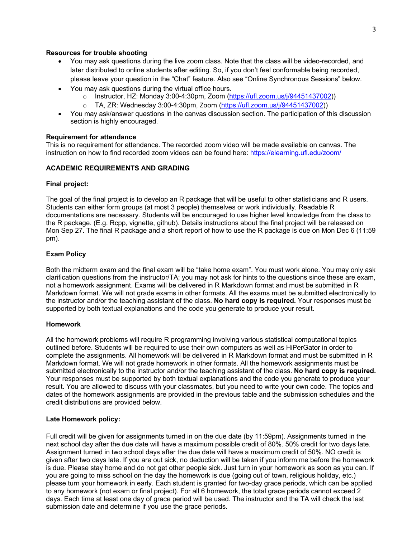### **Resources for trouble shooting**

- You may ask questions during the live zoom class. Note that the class will be video-recorded, and later distributed to online students after editing. So, if you don't feel conformable being recorded, please leave your question in the "Chat" feature. Also see "Online Synchronous Sessions" below.
- You may ask questions during the virtual office hours.
	- o Instructor, HZ: Monday 3:00-4:30pm, Zoom (https://ufl.zoom.us/j/94451437002))
	- o TA, ZR: Wednesday 3:00-4:30pm, Zoom (https://ufl.zoom.us/j/94451437002))
- You may ask/answer questions in the canvas discussion section. The participation of this discussion section is highly encouraged.

#### **Requirement for attendance**

This is no requirement for attendance. The recorded zoom video will be made available on canvas. The instruction on how to find recorded zoom videos can be found here: https://elearning.ufl.edu/zoom/

#### **ACADEMIC REQUIREMENTS AND GRADING**

#### **Final project:**

The goal of the final project is to develop an R package that will be useful to other statisticians and R users. Students can either form groups (at most 3 people) themselves or work individually. Readable R documentations are necessary. Students will be encouraged to use higher level knowledge from the class to the R package. (E.g. Rcpp, vignette, github). Details instructions about the final project will be released on Mon Sep 27. The final R package and a short report of how to use the R package is due on Mon Dec 6 (11:59 pm).

## **Exam Policy**

Both the midterm exam and the final exam will be "take home exam". You must work alone. You may only ask clarification questions from the instructor/TA; you may not ask for hints to the questions since these are exam, not a homework assignment. Exams will be delivered in R Markdown format and must be submitted in R Markdown format. We will not grade exams in other formats. All the exams must be submitted electronically to the instructor and/or the teaching assistant of the class. **No hard copy is required.** Your responses must be supported by both textual explanations and the code you generate to produce your result.

## **Homework**

All the homework problems will require R programming involving various statistical computational topics outlined before. Students will be required to use their own computers as well as HiPerGator in order to complete the assignments. All homework will be delivered in R Markdown format and must be submitted in R Markdown format. We will not grade homework in other formats. All the homework assignments must be submitted electronically to the instructor and/or the teaching assistant of the class. **No hard copy is required.**  Your responses must be supported by both textual explanations and the code you generate to produce your result. You are allowed to discuss with your classmates, but you need to write your own code. The topics and dates of the homework assignments are provided in the previous table and the submission schedules and the credit distributions are provided below.

## **Late Homework policy:**

Full credit will be given for assignments turned in on the due date (by 11:59pm). Assignments turned in the next school day after the due date will have a maximum possible credit of 80%. 50% credit for two days late. Assignment turned in two school days after the due date will have a maximum credit of 50%. NO credit is given after two days late. If you are out sick, no deduction will be taken if you inform me before the homework is due. Please stay home and do not get other people sick. Just turn in your homework as soon as you can. If you are going to miss school on the day the homework is due (going out of town, religious holiday, etc.) please turn your homework in early. Each student is granted for two-day grace periods, which can be applied to any homework (not exam or final project). For all 6 homework, the total grace periods cannot exceed 2 days. Each time at least one day of grace period will be used. The instructor and the TA will check the last submission date and determine if you use the grace periods.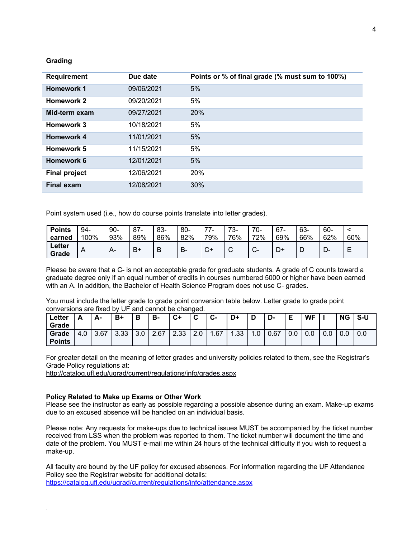### **Grading**

| <b>Requirement</b>   | Due date   | Points or % of final grade (% must sum to 100%) |
|----------------------|------------|-------------------------------------------------|
| <b>Homework 1</b>    | 09/06/2021 | 5%                                              |
| <b>Homework 2</b>    | 09/20/2021 | 5%                                              |
| Mid-term exam        | 09/27/2021 | 20%                                             |
| Homework 3           | 10/18/2021 | 5%                                              |
| Homework 4           | 11/01/2021 | 5%                                              |
| Homework 5           | 11/15/2021 | 5%                                              |
| Homework 6           | 12/01/2021 | 5%                                              |
| <b>Final project</b> | 12/06/2021 | 20%                                             |
| <b>Final exam</b>    | 12/08/2021 | 30%                                             |

Point system used (i.e., how do course points translate into letter grades).

| <b>Points</b><br>earned | 94-<br>100%    | $90-$<br>93% | $87-$<br>89% | 83-<br>86% | $80 -$<br>82% | ラフ<br>79%   | 70<br>- ت.<br>76% | $70-$<br>72% | $67 -$<br>69% | 63-<br>66% | -60<br>62% | 60% |
|-------------------------|----------------|--------------|--------------|------------|---------------|-------------|-------------------|--------------|---------------|------------|------------|-----|
| ∟etter<br>Grade         | $\overline{A}$ | A-           | B+           | B          | В-            | $\sim$<br>◡ | ⌒<br>◡            | $\sim$<br>v  | D+            | ◡          | ┍<br>יש-   | Е   |

Please be aware that a C- is not an acceptable grade for graduate students. A grade of C counts toward a graduate degree only if an equal number of credits in courses numbered 5000 or higher have been earned with an A. In addition, the Bachelor of Health Science Program does not use C- grades.

You must include the letter grade to grade point conversion table below. Letter grade to grade point conversions are fixed by UF and cannot be changed.

| Letter<br>Grade        |     | А-   | B+   | B         | в-   | $C+$ | $\sim$ | $\sim$<br>ს- | D+   |     | D-   |     | <b>WF</b> | ΝG | .S-U |
|------------------------|-----|------|------|-----------|------|------|--------|--------------|------|-----|------|-----|-----------|----|------|
| Grade<br><b>Points</b> | 4.0 | 3.67 | 3.33 | 20<br>J.U | 2.67 | 2.33 | 2.0    | 1.67         | 1.33 | .0. | 0.67 | 0.0 | v.v       |    | 0.0  |

For greater detail on the meaning of letter grades and university policies related to them, see the Registrar's Grade Policy regulations at:

http://catalog.ufl.edu/ugrad/current/regulations/info/grades.aspx

#### **Policy Related to Make up Exams or Other Work**

Please see the instructor as early as possible regarding a possible absence during an exam. Make-up exams due to an excused absence will be handled on an individual basis.

Please note: Any requests for make-ups due to technical issues MUST be accompanied by the ticket number received from LSS when the problem was reported to them. The ticket number will document the time and date of the problem. You MUST e-mail me within 24 hours of the technical difficulty if you wish to request a make-up.

All faculty are bound by the UF policy for excused absences. For information regarding the UF Attendance Policy see the Registrar website for additional details:

https://catalog.ufl.edu/ugrad/current/regulations/info/attendance.aspx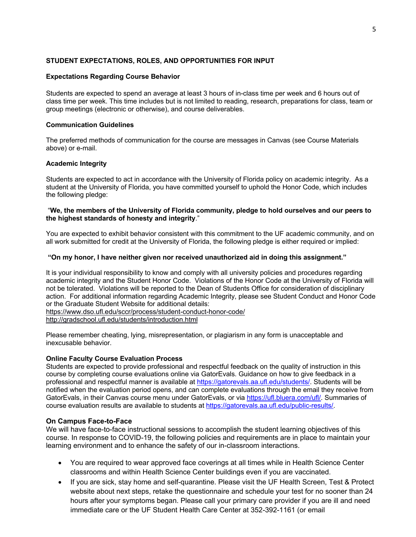## **STUDENT EXPECTATIONS, ROLES, AND OPPORTUNITIES FOR INPUT**

## **Expectations Regarding Course Behavior**

Students are expected to spend an average at least 3 hours of in-class time per week and 6 hours out of class time per week. This time includes but is not limited to reading, research, preparations for class, team or group meetings (electronic or otherwise), and course deliverables.

## **Communication Guidelines**

The preferred methods of communication for the course are messages in Canvas (see Course Materials above) or e-mail.

## **Academic Integrity**

Students are expected to act in accordance with the University of Florida policy on academic integrity. As a student at the University of Florida, you have committed yourself to uphold the Honor Code, which includes the following pledge:

## "**We, the members of the University of Florida community, pledge to hold ourselves and our peers to the highest standards of honesty and integrity**."

You are expected to exhibit behavior consistent with this commitment to the UF academic community, and on all work submitted for credit at the University of Florida, the following pledge is either required or implied:

## **"On my honor, I have neither given nor received unauthorized aid in doing this assignment."**

It is your individual responsibility to know and comply with all university policies and procedures regarding academic integrity and the Student Honor Code. Violations of the Honor Code at the University of Florida will not be tolerated. Violations will be reported to the Dean of Students Office for consideration of disciplinary action. For additional information regarding Academic Integrity, please see Student Conduct and Honor Code or the Graduate Student Website for additional details:

https://www.dso.ufl.edu/sccr/process/student-conduct-honor-code/

http://gradschool.ufl.edu/students/introduction.html

Please remember cheating, lying, misrepresentation, or plagiarism in any form is unacceptable and inexcusable behavior.

# **Online Faculty Course Evaluation Process**

Students are expected to provide professional and respectful feedback on the quality of instruction in this course by completing course evaluations online via GatorEvals. Guidance on how to give feedback in a professional and respectful manner is available at https://gatorevals.aa.ufl.edu/students/. Students will be notified when the evaluation period opens, and can complete evaluations through the email they receive from GatorEvals, in their Canvas course menu under GatorEvals, or via https://ufl.bluera.com/ufl/. Summaries of course evaluation results are available to students at https://gatorevals.aa.ufl.edu/public-results/.

# **On Campus Face-to-Face**

We will have face-to-face instructional sessions to accomplish the student learning objectives of this course. In response to COVID-19, the following policies and requirements are in place to maintain your learning environment and to enhance the safety of our in-classroom interactions.

- You are required to wear approved face coverings at all times while in Health Science Center classrooms and within Health Science Center buildings even if you are vaccinated.
- If you are sick, stay home and self-quarantine. Please visit the UF Health Screen, Test & Protect website about next steps, retake the questionnaire and schedule your test for no sooner than 24 hours after your symptoms began. Please call your primary care provider if you are ill and need immediate care or the UF Student Health Care Center at 352-392-1161 (or email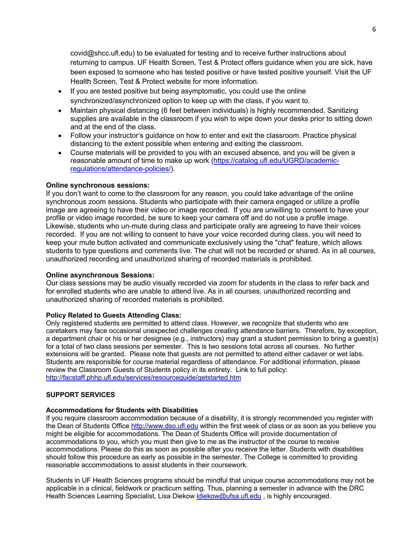covid@shcc.ufl.edu) to be evaluated for testing and to receive further instructions about returning to campus. UF Health Screen, Test & Protect offers guidance when you are sick, have been exposed to someone who has tested positive or have tested positive yourself. Visit the UF Health Screen, Test & Protect website for more information.

- If you are tested positive but being asymptomatic, you could use the online synchronized/asynchronized option to keep up with the class, if you want to.
- Maintain physical distancing (6 feet between individuals) is highly recommended. Sanitizing supplies are available in the classroom if you wish to wipe down your desks prior to sitting down and at the end of the class.
- Follow your instructor's guidance on how to enter and exit the classroom. Practice physical distancing to the extent possible when entering and exiting the classroom.
- Course materials will be provided to you with an excused absence, and you will be given a reasonable amount of time to make up work (https://catalog.ufl.edu/UGRD/academicregulations/attendance-policies/).

## **Online synchronous sessions:**

If you don't want to come to the classroom for any reason, you could take advantage of the online synchronous zoom sessions. Students who participate with their camera engaged or utilize a profile image are agreeing to have their video or image recorded. If you are unwilling to consent to have your profile or video image recorded, be sure to keep your camera off and do not use a profile image. Likewise, students who un-mute during class and participate orally are agreeing to have their voices recorded. If you are not willing to consent to have your voice recorded during class, you will need to keep your mute button activated and communicate exclusively using the "chat" feature, which allows students to type questions and comments live. The chat will not be recorded or shared. As in all courses, unauthorized recording and unauthorized sharing of recorded materials is prohibited.

## **Online asynchronous Sessions:**

Our class sessions may be audio visually recorded via zoom for students in the class to refer back and for enrolled students who are unable to attend live. As in all courses, unauthorized recording and unauthorized sharing of recorded materials is prohibited.

## **Policy Related to Guests Attending Class:**

Only registered students are permitted to attend class. However, we recognize that students who are caretakers may face occasional unexpected challenges creating attendance barriers. Therefore, by exception, a department chair or his or her designee (e.g., instructors) may grant a student permission to bring a guest(s) for a total of two class sessions per semester. This is two sessions total across all courses. No further extensions will be granted. Please note that guests are not permitted to attend either cadaver or wet labs. Students are responsible for course material regardless of attendance. For additional information, please review the Classroom Guests of Students policy in its entirety. Link to full policy: http://facstaff.phhp.ufl.edu/services/resourceguide/getstarted.htm

## **SUPPORT SERVICES**

## **Accommodations for Students with Disabilities**

If you require classroom accommodation because of a disability, it is strongly recommended you register with the Dean of Students Office http://www.dso.ufl.edu within the first week of class or as soon as you believe you might be eligible for accommodations. The Dean of Students Office will provide documentation of accommodations to you, which you must then give to me as the instructor of the course to receive accommodations. Please do this as soon as possible after you receive the letter. Students with disabilities should follow this procedure as early as possible in the semester. The College is committed to providing reasonable accommodations to assist students in their coursework.

Students in UF Health Sciences programs should be mindful that unique course accommodations may not be applicable in a clinical, fieldwork or practicum setting. Thus, planning a semester in advance with the DRC Health Sciences Learning Specialist, Lisa Diekow Idiekow@ufsa.ufl.edu, is highly encouraged.